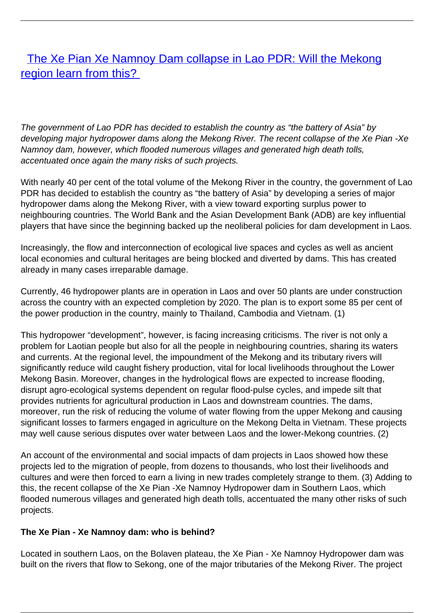## [The Xe Pian Xe Namnoy Dam collapse in Lao PDR: Will the Mekong](/bulletin-articles/the-xe-pian-xe-namnoy-dam-collapse-in-lao-pdr-will-the-mekong-region-learn-from-this) [region learn from this?](/bulletin-articles/the-xe-pian-xe-namnoy-dam-collapse-in-lao-pdr-will-the-mekong-region-learn-from-this)

The government of Lao PDR has decided to establish the country as "the battery of Asia" by developing major hydropower dams along the Mekong River. The recent collapse of the Xe Pian -Xe Namnoy dam, however, which flooded numerous villages and generated high death tolls, accentuated once again the many risks of such projects.

With nearly 40 per cent of the total volume of the Mekong River in the country, the government of Lao PDR has decided to establish the country as "the battery of Asia" by developing a series of major hydropower dams along the Mekong River, with a view toward exporting surplus power to neighbouring countries. The World Bank and the Asian Development Bank (ADB) are key influential players that have since the beginning backed up the neoliberal policies for dam development in Laos.

Increasingly, the flow and interconnection of ecological live spaces and cycles as well as ancient local economies and cultural heritages are being blocked and diverted by dams. This has created already in many cases irreparable damage.

Currently, 46 hydropower plants are in operation in Laos and over 50 plants are under construction across the country with an expected completion by 2020. The plan is to export some 85 per cent of the power production in the country, mainly to Thailand, Cambodia and Vietnam. (1)

This hydropower "development", however, is facing increasing criticisms. The river is not only a problem for Laotian people but also for all the people in neighbouring countries, sharing its waters and currents. At the regional level, the impoundment of the Mekong and its tributary rivers will significantly reduce wild caught fishery production, vital for local livelihoods throughout the Lower Mekong Basin. Moreover, changes in the hydrological flows are expected to increase flooding, disrupt agro-ecological systems dependent on regular flood-pulse cycles, and impede silt that provides nutrients for agricultural production in Laos and downstream countries. The dams, moreover, run the risk of reducing the volume of water flowing from the upper Mekong and causing significant losses to farmers engaged in agriculture on the Mekong Delta in Vietnam. These projects may well cause serious disputes over water between Laos and the lower-Mekong countries. (2)

An account of the environmental and social impacts of dam projects in Laos showed how these projects led to the migration of people, from dozens to thousands, who lost their livelihoods and cultures and were then forced to earn a living in new trades completely strange to them. (3) Adding to this, the recent collapse of the Xe Pian -Xe Namnoy Hydropower dam in Southern Laos, which flooded numerous villages and generated high death tolls, accentuated the many other risks of such projects.

## **The Xe Pian - Xe Namnoy dam: who is behind?**

Located in southern Laos, on the Bolaven plateau, the Xe Pian - Xe Namnoy Hydropower dam was built on the rivers that flow to Sekong, one of the major tributaries of the Mekong River. The project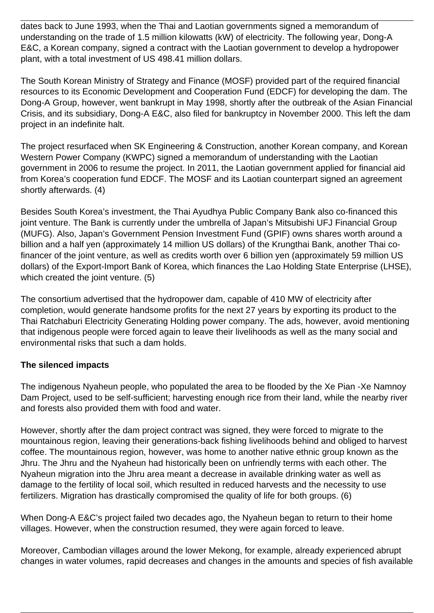dates back to June 1993, when the Thai and Laotian governments signed a memorandum of understanding on the trade of 1.5 million kilowatts (kW) of electricity. The following year, Dong-A E&C, a Korean company, signed a contract with the Laotian government to develop a hydropower plant, with a total investment of US 498.41 million dollars.

The South Korean Ministry of Strategy and Finance (MOSF) provided part of the required financial resources to its Economic Development and Cooperation Fund (EDCF) for developing the dam. The Dong-A Group, however, went bankrupt in May 1998, shortly after the outbreak of the Asian Financial Crisis, and its subsidiary, Dong-A E&C, also filed for bankruptcy in November 2000. This left the dam project in an indefinite halt.

The project resurfaced when SK Engineering & Construction, another Korean company, and Korean Western Power Company (KWPC) signed a memorandum of understanding with the Laotian government in 2006 to resume the project. In 2011, the Laotian government applied for financial aid from Korea's cooperation fund EDCF. The MOSF and its Laotian counterpart signed an agreement shortly afterwards. (4)

Besides South Korea's investment, the Thai Ayudhya Public Company Bank also co-financed this joint venture. The Bank is currently under the umbrella of Japan's Mitsubishi UFJ Financial Group (MUFG). Also, Japan's Government Pension Investment Fund (GPIF) owns shares worth around a billion and a half yen (approximately 14 million US dollars) of the Krungthai Bank, another Thai cofinancer of the joint venture, as well as credits worth over 6 billion yen (approximately 59 million US dollars) of the Export-Import Bank of Korea, which finances the Lao Holding State Enterprise (LHSE), which created the joint venture. (5)

The consortium advertised that the hydropower dam, capable of 410 MW of electricity after completion, would generate handsome profits for the next 27 years by exporting its product to the Thai Ratchaburi Electricity Generating Holding power company. The ads, however, avoid mentioning that indigenous people were forced again to leave their livelihoods as well as the many social and environmental risks that such a dam holds.

## **The silenced impacts**

The indigenous Nyaheun people, who populated the area to be flooded by the Xe Pian -Xe Namnoy Dam Project, used to be self-sufficient; harvesting enough rice from their land, while the nearby river and forests also provided them with food and water.

However, shortly after the dam project contract was signed, they were forced to migrate to the mountainous region, leaving their generations-back fishing livelihoods behind and obliged to harvest coffee. The mountainous region, however, was home to another native ethnic group known as the Jhru. The Jhru and the Nyaheun had historically been on unfriendly terms with each other. The Nyaheun migration into the Jhru area meant a decrease in available drinking water as well as damage to the fertility of local soil, which resulted in reduced harvests and the necessity to use fertilizers. Migration has drastically compromised the quality of life for both groups. (6)

When Dong-A E&C's project failed two decades ago, the Nyaheun began to return to their home villages. However, when the construction resumed, they were again forced to leave.

Moreover, Cambodian villages around the lower Mekong, for example, already experienced abrupt changes in water volumes, rapid decreases and changes in the amounts and species of fish available